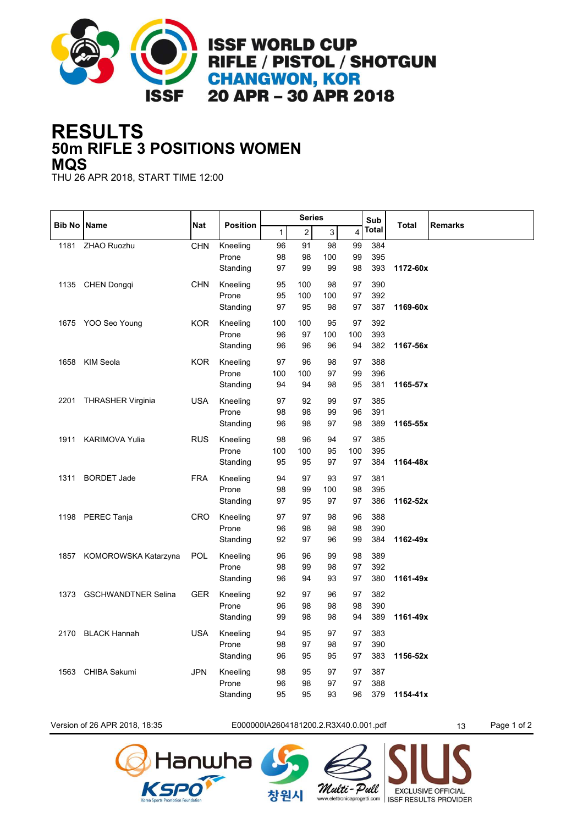

## **50m RIFLE 3 POSITIONS WOMEN RESULTS MQS**

THU 26 APR 2018, START TIME 12:00

|      | <b>Bib No Name</b>         | <b>Nat</b> | <b>Position</b>   |              | <b>Series</b> |             |          | Sub        |              |                |
|------|----------------------------|------------|-------------------|--------------|---------------|-------------|----------|------------|--------------|----------------|
|      |                            |            |                   | $\mathbf{1}$ | 2             | $\mathsf 3$ | 4        | Total      | <b>Total</b> | <b>Remarks</b> |
| 1181 | ZHAO Ruozhu                | <b>CHN</b> | Kneeling          | 96           | 91            | 98          | 99       | 384        |              |                |
|      |                            |            | Prone             | 98           | 98            | 100         | 99       | 395        |              |                |
|      |                            |            | Standing          | 97           | 99            | 99          | 98       | 393        | 1172-60x     |                |
|      | 1135 CHEN Dongqi           | <b>CHN</b> | Kneeling          | 95           | 100           | 98          | 97       | 390        |              |                |
|      |                            |            | Prone             | 95           | 100           | 100         | 97       | 392        |              |                |
|      |                            |            | Standing          | 97           | 95            | 98          | 97       | 387        | 1169-60x     |                |
| 1675 | YOO Seo Young              | <b>KOR</b> | Kneeling          | 100          | 100           | 95          | 97       | 392        |              |                |
|      |                            |            | Prone             | 96           | 97            | 100         | 100      | 393        |              |                |
|      |                            |            | Standing          | 96           | 96            | 96          | 94       | 382        | 1167-56x     |                |
| 1658 | KIM Seola                  | KOR        | Kneeling          | 97           | 96            | 98          | 97       | 388        |              |                |
|      |                            |            | Prone             | 100          | 100           | 97          | 99       | 396        |              |                |
|      |                            |            | Standing          | 94           | 94            | 98          | 95       | 381        | 1165-57x     |                |
| 2201 | <b>THRASHER Virginia</b>   | <b>USA</b> | Kneeling          | 97           | 92            | 99          | 97       | 385        |              |                |
|      |                            |            | Prone             | 98           | 98            | 99          | 96       | 391        |              |                |
|      |                            |            | Standing          | 96           | 98            | 97          | 98       | 389        | 1165-55x     |                |
| 1911 | <b>KARIMOVA Yulia</b>      | RUS        | Kneeling          | 98           | 96            | 94          | 97       | 385        |              |                |
|      |                            |            | Prone             | 100          | 100           | 95          | 100      | 395        |              |                |
|      |                            |            | Standing          | 95           | 95            | 97          | 97       | 384        | 1164-48x     |                |
| 1311 | <b>BORDET Jade</b>         | <b>FRA</b> | Kneeling          | 94           | 97            | 93          | 97       | 381        |              |                |
|      |                            |            | Prone             | 98           | 99            | 100         | 98       | 395        |              |                |
|      |                            |            | Standing          | 97           | 95            | 97          | 97       | 386        | 1162-52x     |                |
|      | 1198 PEREC Tanja           | CRO        | Kneeling          | 97           | 97            | 98          | 96       | 388        |              |                |
|      |                            |            | Prone             | 96           | 98            | 98          | 98       | 390        |              |                |
|      |                            |            | Standing          | 92           | 97            | 96          | 99       | 384        | 1162-49x     |                |
| 1857 | KOMOROWSKA Katarzyna       | POL        | Kneeling          | 96           | 96            | 99          | 98       | 389        |              |                |
|      |                            |            | Prone             | 98           | 99            | 98          | 97       | 392        |              |                |
|      |                            |            | Standing          | 96           | 94            | 93          | 97       | 380        | 1161-49x     |                |
| 1373 | <b>GSCHWANDTNER Selina</b> | <b>GER</b> | Kneeling          | 92           | 97            | 96          | 97       | 382        |              |                |
|      |                            |            | Prone             | 96           | 98            | 98          | 98       | 390        |              |                |
|      |                            |            | Standing          | 99           | 98            | 98          | 94       | 389        | 1161-49x     |                |
|      |                            |            |                   |              |               |             |          |            |              |                |
| 2170 | <b>BLACK Hannah</b>        | <b>USA</b> | Kneeling<br>Prone | 94<br>98     | 95<br>97      | 97<br>98    | 97<br>97 | 383<br>390 |              |                |
|      |                            |            | Standing          | 96           | 95            | 95          | 97       | 383        | 1156-52x     |                |
|      |                            |            |                   |              |               |             |          |            |              |                |
| 1563 | <b>CHIBA Sakumi</b>        | <b>JPN</b> | Kneeling          | 98           | 95            | 97          | 97       | 387        |              |                |
|      |                            |            | Prone<br>Standing | 96<br>95     | 98<br>95      | 97<br>93    | 97<br>96 | 388<br>379 | $1154 - 41x$ |                |
|      |                            |            |                   |              |               |             |          |            |              |                |

Version of 26 APR 2018, 18:35 E000000IA2604181200.2.R3X40.0.001.pdf 13 Page 1 of 2

창원시